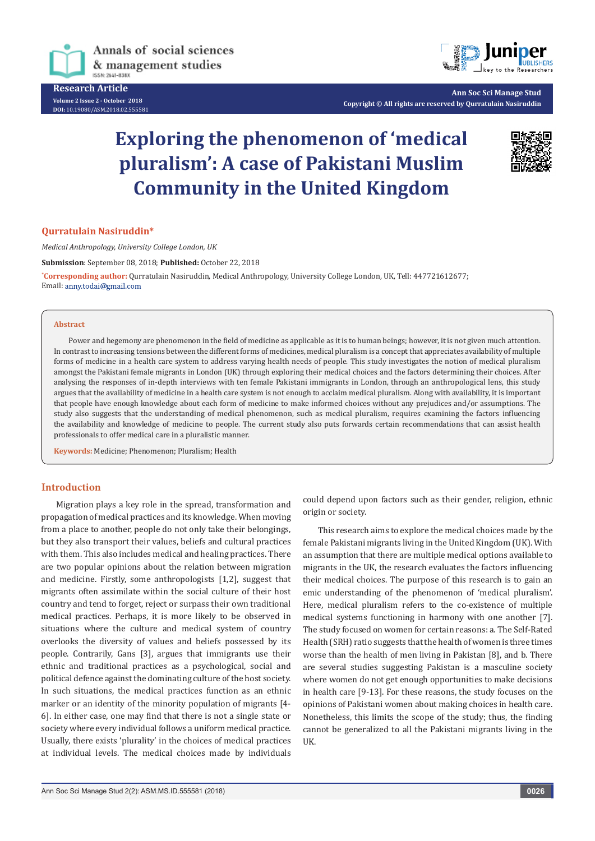

**Research Article Volume 2 Issue 2 - October 2018 DOI:** [10.19080/ASM.2018.02.555581](http://dx.doi.org/10.19080/ASM.2018.02.555581
)



**Ann Soc Sci Manage Stud Copyright © All rights are reserved by Qurratulain Nasiruddin**

# **Exploring the phenomenon of 'medical pluralism': A case of Pakistani Muslim Community in the United Kingdom**



#### **Qurratulain Nasiruddin\***

*Medical Anthropology, University College London, UK*

**Submission**: September 08, 2018; **Published:** October 22, 2018

**\* Corresponding author:** Qurratulain Nasiruddin, Medical Anthropology, University College London, UK, Tell: 447721612677; Email: anny.todai@gmail.com

#### **Abstract**

Power and hegemony are phenomenon in the field of medicine as applicable as it is to human beings; however, it is not given much attention. In contrast to increasing tensions between the different forms of medicines, medical pluralism is a concept that appreciates availability of multiple forms of medicine in a health care system to address varying health needs of people. This study investigates the notion of medical pluralism amongst the Pakistani female migrants in London (UK) through exploring their medical choices and the factors determining their choices. After analysing the responses of in-depth interviews with ten female Pakistani immigrants in London, through an anthropological lens, this study argues that the availability of medicine in a health care system is not enough to acclaim medical pluralism. Along with availability, it is important that people have enough knowledge about each form of medicine to make informed choices without any prejudices and/or assumptions. The study also suggests that the understanding of medical phenomenon, such as medical pluralism, requires examining the factors influencing the availability and knowledge of medicine to people. The current study also puts forwards certain recommendations that can assist health professionals to offer medical care in a pluralistic manner.

**Keywords:** Medicine; Phenomenon; Pluralism; Health

## **Introduction**

Migration plays a key role in the spread, transformation and propagation of medical practices and its knowledge. When moving from a place to another, people do not only take their belongings, but they also transport their values, beliefs and cultural practices with them. This also includes medical and healing practices. There are two popular opinions about the relation between migration and medicine. Firstly, some anthropologists [1,2], suggest that migrants often assimilate within the social culture of their host country and tend to forget, reject or surpass their own traditional medical practices. Perhaps, it is more likely to be observed in situations where the culture and medical system of country overlooks the diversity of values and beliefs possessed by its people. Contrarily, Gans [3], argues that immigrants use their ethnic and traditional practices as a psychological, social and political defence against the dominating culture of the host society. In such situations, the medical practices function as an ethnic marker or an identity of the minority population of migrants [4- 6]. In either case, one may find that there is not a single state or society where every individual follows a uniform medical practice. Usually, there exists 'plurality' in the choices of medical practices at individual levels. The medical choices made by individuals

could depend upon factors such as their gender, religion, ethnic origin or society.

This research aims to explore the medical choices made by the female Pakistani migrants living in the United Kingdom (UK). With an assumption that there are multiple medical options available to migrants in the UK, the research evaluates the factors influencing their medical choices. The purpose of this research is to gain an emic understanding of the phenomenon of 'medical pluralism'. Here, medical pluralism refers to the co-existence of multiple medical systems functioning in harmony with one another [7]. The study focused on women for certain reasons: a. The Self-Rated Health (SRH) ratio suggests that the health of women is three times worse than the health of men living in Pakistan [8], and b. There are several studies suggesting Pakistan is a masculine society where women do not get enough opportunities to make decisions in health care [9-13]. For these reasons, the study focuses on the opinions of Pakistani women about making choices in health care. Nonetheless, this limits the scope of the study; thus, the finding cannot be generalized to all the Pakistani migrants living in the UK.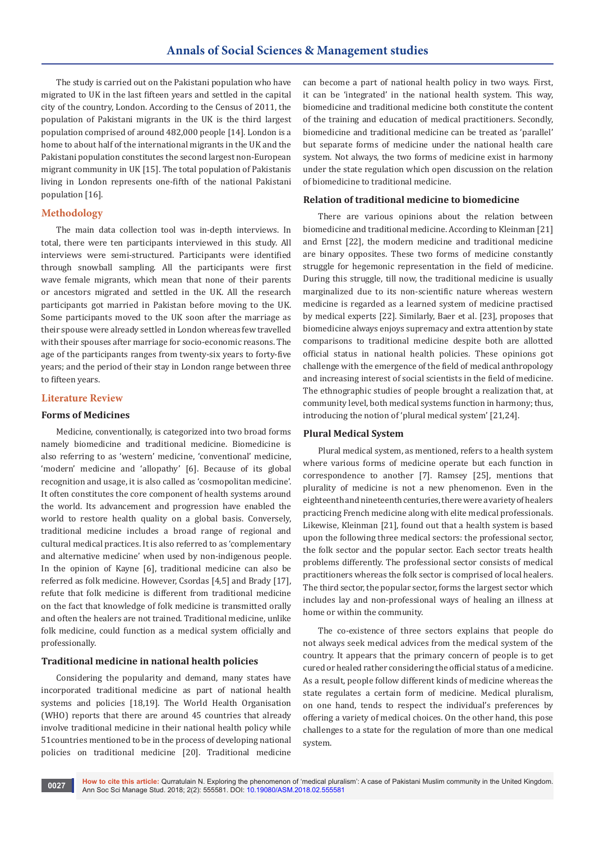The study is carried out on the Pakistani population who have migrated to UK in the last fifteen years and settled in the capital city of the country, London. According to the Census of 2011, the population of Pakistani migrants in the UK is the third largest population comprised of around 482,000 people [14]. London is a home to about half of the international migrants in the UK and the Pakistani population constitutes the second largest non-European migrant community in UK [15]. The total population of Pakistanis living in London represents one-fifth of the national Pakistani population [16].

# **Methodology**

The main data collection tool was in-depth interviews. In total, there were ten participants interviewed in this study. All interviews were semi-structured. Participants were identified through snowball sampling. All the participants were first wave female migrants, which mean that none of their parents or ancestors migrated and settled in the UK. All the research participants got married in Pakistan before moving to the UK. Some participants moved to the UK soon after the marriage as their spouse were already settled in London whereas few travelled with their spouses after marriage for socio-economic reasons. The age of the participants ranges from twenty-six years to forty-five years; and the period of their stay in London range between three to fifteen years.

# **Literature Review**

# **Forms of Medicines**

Medicine, conventionally, is categorized into two broad forms namely biomedicine and traditional medicine. Biomedicine is also referring to as 'western' medicine, 'conventional' medicine, 'modern' medicine and 'allopathy' [6]. Because of its global recognition and usage, it is also called as 'cosmopolitan medicine'. It often constitutes the core component of health systems around the world. Its advancement and progression have enabled the world to restore health quality on a global basis. Conversely, traditional medicine includes a broad range of regional and cultural medical practices. It is also referred to as 'complementary and alternative medicine' when used by non-indigenous people. In the opinion of Kayne [6], traditional medicine can also be referred as folk medicine. However, Csordas [4,5] and Brady [17], refute that folk medicine is different from traditional medicine on the fact that knowledge of folk medicine is transmitted orally and often the healers are not trained. Traditional medicine, unlike folk medicine, could function as a medical system officially and professionally.

# **Traditional medicine in national health policies**

Considering the popularity and demand, many states have incorporated traditional medicine as part of national health systems and policies [18,19]. The World Health Organisation (WHO) reports that there are around 45 countries that already involve traditional medicine in their national health policy while 51countries mentioned to be in the process of developing national policies on traditional medicine [20]. Traditional medicine

can become a part of national health policy in two ways. First, it can be 'integrated' in the national health system. This way, biomedicine and traditional medicine both constitute the content of the training and education of medical practitioners. Secondly, biomedicine and traditional medicine can be treated as 'parallel' but separate forms of medicine under the national health care system. Not always, the two forms of medicine exist in harmony under the state regulation which open discussion on the relation of biomedicine to traditional medicine.

## **Relation of traditional medicine to biomedicine**

There are various opinions about the relation between biomedicine and traditional medicine. According to Kleinman [21] and Ernst [22], the modern medicine and traditional medicine are binary opposites. These two forms of medicine constantly struggle for hegemonic representation in the field of medicine. During this struggle, till now, the traditional medicine is usually marginalized due to its non-scientific nature whereas western medicine is regarded as a learned system of medicine practised by medical experts [22]. Similarly, Baer et al. [23], proposes that biomedicine always enjoys supremacy and extra attention by state comparisons to traditional medicine despite both are allotted official status in national health policies. These opinions got challenge with the emergence of the field of medical anthropology and increasing interest of social scientists in the field of medicine. The ethnographic studies of people brought a realization that, at community level, both medical systems function in harmony; thus, introducing the notion of 'plural medical system' [21,24].

# **Plural Medical System**

Plural medical system, as mentioned, refers to a health system where various forms of medicine operate but each function in correspondence to another [7]. Ramsey [25], mentions that plurality of medicine is not a new phenomenon. Even in the eighteenth and nineteenth centuries, there were a variety of healers practicing French medicine along with elite medical professionals. Likewise, Kleinman [21], found out that a health system is based upon the following three medical sectors: the professional sector, the folk sector and the popular sector. Each sector treats health problems differently. The professional sector consists of medical practitioners whereas the folk sector is comprised of local healers. The third sector, the popular sector, forms the largest sector which includes lay and non-professional ways of healing an illness at home or within the community.

The co-existence of three sectors explains that people do not always seek medical advices from the medical system of the country. It appears that the primary concern of people is to get cured or healed rather considering the official status of a medicine. As a result, people follow different kinds of medicine whereas the state regulates a certain form of medicine. Medical pluralism, on one hand, tends to respect the individual's preferences by offering a variety of medical choices. On the other hand, this pose challenges to a state for the regulation of more than one medical system.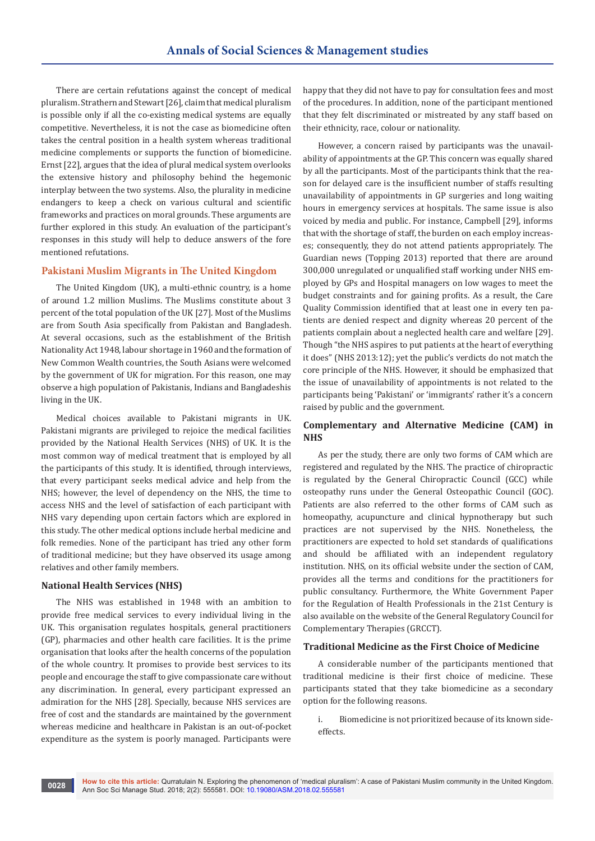There are certain refutations against the concept of medical pluralism. Strathern and Stewart [26], claim that medical pluralism is possible only if all the co-existing medical systems are equally competitive. Nevertheless, it is not the case as biomedicine often takes the central position in a health system whereas traditional medicine complements or supports the function of biomedicine. Ernst [22], argues that the idea of plural medical system overlooks the extensive history and philosophy behind the hegemonic interplay between the two systems. Also, the plurality in medicine endangers to keep a check on various cultural and scientific frameworks and practices on moral grounds. These arguments are further explored in this study. An evaluation of the participant's responses in this study will help to deduce answers of the fore mentioned refutations.

## **Pakistani Muslim Migrants in The United Kingdom**

The United Kingdom (UK), a multi-ethnic country, is a home of around 1.2 million Muslims. The Muslims constitute about 3 percent of the total population of the UK [27]. Most of the Muslims are from South Asia specifically from Pakistan and Bangladesh. At several occasions, such as the establishment of the British Nationality Act 1948, labour shortage in 1960 and the formation of New Common Wealth countries, the South Asians were welcomed by the government of UK for migration. For this reason, one may observe a high population of Pakistanis, Indians and Bangladeshis living in the UK.

Medical choices available to Pakistani migrants in UK. Pakistani migrants are privileged to rejoice the medical facilities provided by the National Health Services (NHS) of UK. It is the most common way of medical treatment that is employed by all the participants of this study. It is identified, through interviews, that every participant seeks medical advice and help from the NHS; however, the level of dependency on the NHS, the time to access NHS and the level of satisfaction of each participant with NHS vary depending upon certain factors which are explored in this study. The other medical options include herbal medicine and folk remedies. None of the participant has tried any other form of traditional medicine; but they have observed its usage among relatives and other family members.

#### **National Health Services (NHS)**

The NHS was established in 1948 with an ambition to provide free medical services to every individual living in the UK. This organisation regulates hospitals, general practitioners (GP), pharmacies and other health care facilities. It is the prime organisation that looks after the health concerns of the population of the whole country. It promises to provide best services to its people and encourage the staff to give compassionate care without any discrimination. In general, every participant expressed an admiration for the NHS [28]. Specially, because NHS services are free of cost and the standards are maintained by the government whereas medicine and healthcare in Pakistan is an out-of-pocket expenditure as the system is poorly managed. Participants were

happy that they did not have to pay for consultation fees and most of the procedures. In addition, none of the participant mentioned that they felt discriminated or mistreated by any staff based on their ethnicity, race, colour or nationality.

However, a concern raised by participants was the unavailability of appointments at the GP. This concern was equally shared by all the participants. Most of the participants think that the reason for delayed care is the insufficient number of staffs resulting unavailability of appointments in GP surgeries and long waiting hours in emergency services at hospitals. The same issue is also voiced by media and public. For instance, Campbell [29], informs that with the shortage of staff, the burden on each employ increases; consequently, they do not attend patients appropriately. The Guardian news (Topping 2013) reported that there are around 300,000 unregulated or unqualified staff working under NHS employed by GPs and Hospital managers on low wages to meet the budget constraints and for gaining profits. As a result, the Care Quality Commission identified that at least one in every ten patients are denied respect and dignity whereas 20 percent of the patients complain about a neglected health care and welfare [29]. Though "the NHS aspires to put patients at the heart of everything it does" (NHS 2013:12); yet the public's verdicts do not match the core principle of the NHS. However, it should be emphasized that the issue of unavailability of appointments is not related to the participants being 'Pakistani' or 'immigrants' rather it's a concern raised by public and the government.

# **Complementary and Alternative Medicine (CAM) in NHS**

As per the study, there are only two forms of CAM which are registered and regulated by the NHS. The practice of chiropractic is regulated by the General Chiropractic Council (GCC) while osteopathy runs under the General Osteopathic Council (GOC). Patients are also referred to the other forms of CAM such as homeopathy, acupuncture and clinical hypnotherapy but such practices are not supervised by the NHS. Nonetheless, the practitioners are expected to hold set standards of qualifications and should be affiliated with an independent regulatory institution. NHS, on its official website under the section of CAM, provides all the terms and conditions for the practitioners for public consultancy. Furthermore, the White Government Paper for the Regulation of Health Professionals in the 21st Century is also available on the website of the General Regulatory Council for Complementary Therapies (GRCCT).

#### **Traditional Medicine as the First Choice of Medicine**

A considerable number of the participants mentioned that traditional medicine is their first choice of medicine. These participants stated that they take biomedicine as a secondary option for the following reasons.

i. Biomedicine is not prioritized because of its known sideeffects.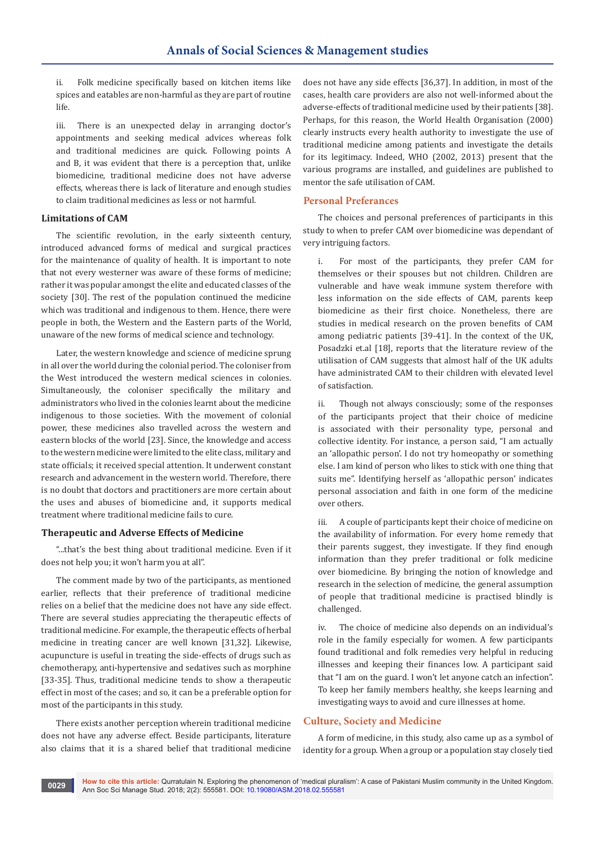ii. Folk medicine specifically based on kitchen items like spices and eatables are non-harmful as they are part of routine life.

iii. There is an unexpected delay in arranging doctor's appointments and seeking medical advices whereas folk and traditional medicines are quick. Following points A and B, it was evident that there is a perception that, unlike biomedicine, traditional medicine does not have adverse effects, whereas there is lack of literature and enough studies to claim traditional medicines as less or not harmful.

## **Limitations of CAM**

The scientific revolution, in the early sixteenth century, introduced advanced forms of medical and surgical practices for the maintenance of quality of health. It is important to note that not every westerner was aware of these forms of medicine; rather it was popular amongst the elite and educated classes of the society [30]. The rest of the population continued the medicine which was traditional and indigenous to them. Hence, there were people in both, the Western and the Eastern parts of the World, unaware of the new forms of medical science and technology.

Later, the western knowledge and science of medicine sprung in all over the world during the colonial period. The coloniser from the West introduced the western medical sciences in colonies. Simultaneously, the coloniser specifically the military and administrators who lived in the colonies learnt about the medicine indigenous to those societies. With the movement of colonial power, these medicines also travelled across the western and eastern blocks of the world [23]. Since, the knowledge and access to the western medicine were limited to the elite class, military and state officials; it received special attention. It underwent constant research and advancement in the western world. Therefore, there is no doubt that doctors and practitioners are more certain about the uses and abuses of biomedicine and, it supports medical treatment where traditional medicine fails to cure.

## **Therapeutic and Adverse Effects of Medicine**

"...that's the best thing about traditional medicine. Even if it does not help you; it won't harm you at all".

The comment made by two of the participants, as mentioned earlier, reflects that their preference of traditional medicine relies on a belief that the medicine does not have any side effect. There are several studies appreciating the therapeutic effects of traditional medicine. For example, the therapeutic effects of herbal medicine in treating cancer are well known [31,32]. Likewise, acupuncture is useful in treating the side-effects of drugs such as chemotherapy, anti-hypertensive and sedatives such as morphine [33-35]. Thus, traditional medicine tends to show a therapeutic effect in most of the cases; and so, it can be a preferable option for most of the participants in this study.

There exists another perception wherein traditional medicine does not have any adverse effect. Beside participants, literature also claims that it is a shared belief that traditional medicine does not have any side effects [36,37]. In addition, in most of the cases, health care providers are also not well-informed about the adverse-effects of traditional medicine used by their patients [38]. Perhaps, for this reason, the World Health Organisation (2000) clearly instructs every health authority to investigate the use of traditional medicine among patients and investigate the details for its legitimacy. Indeed, WHO (2002, 2013) present that the various programs are installed, and guidelines are published to mentor the safe utilisation of CAM.

# **Personal Preferances**

The choices and personal preferences of participants in this study to when to prefer CAM over biomedicine was dependant of very intriguing factors.

i. For most of the participants, they prefer CAM for themselves or their spouses but not children. Children are vulnerable and have weak immune system therefore with less information on the side effects of CAM, parents keep biomedicine as their first choice. Nonetheless, there are studies in medical research on the proven benefits of CAM among pediatric patients [39-41]. In the context of the UK, Posadzki et.al [18], reports that the literature review of the utilisation of CAM suggests that almost half of the UK adults have administrated CAM to their children with elevated level of satisfaction.

ii. Though not always consciously; some of the responses of the participants project that their choice of medicine is associated with their personality type, personal and collective identity. For instance, a person said, "I am actually an 'allopathic person'. I do not try homeopathy or something else. I am kind of person who likes to stick with one thing that suits me". Identifying herself as 'allopathic person' indicates personal association and faith in one form of the medicine over others.

iii. A couple of participants kept their choice of medicine on the availability of information. For every home remedy that their parents suggest, they investigate. If they find enough information than they prefer traditional or folk medicine over biomedicine. By bringing the notion of knowledge and research in the selection of medicine, the general assumption of people that traditional medicine is practised blindly is challenged.

The choice of medicine also depends on an individual's role in the family especially for women. A few participants found traditional and folk remedies very helpful in reducing illnesses and keeping their finances low. A participant said that "I am on the guard. I won't let anyone catch an infection". To keep her family members healthy, she keeps learning and investigating ways to avoid and cure illnesses at home.

# **Culture, Society and Medicine**

A form of medicine, in this study, also came up as a symbol of identity for a group. When a group or a population stay closely tied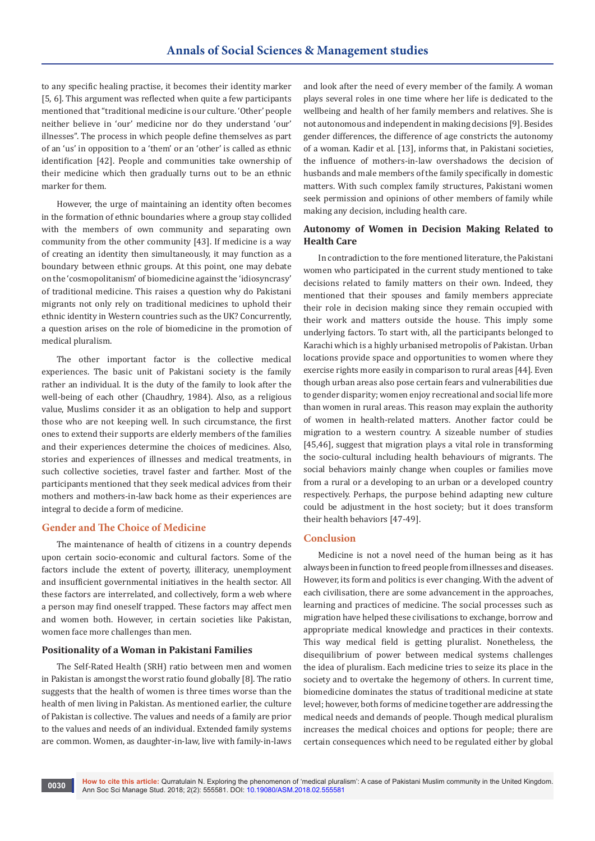to any specific healing practise, it becomes their identity marker [5, 6]. This argument was reflected when quite a few participants mentioned that "traditional medicine is our culture. 'Other' people neither believe in 'our' medicine nor do they understand 'our' illnesses". The process in which people define themselves as part of an 'us' in opposition to a 'them' or an 'other' is called as ethnic identification [42]. People and communities take ownership of their medicine which then gradually turns out to be an ethnic marker for them.

However, the urge of maintaining an identity often becomes in the formation of ethnic boundaries where a group stay collided with the members of own community and separating own community from the other community [43]. If medicine is a way of creating an identity then simultaneously, it may function as a boundary between ethnic groups. At this point, one may debate on the 'cosmopolitanism' of biomedicine against the 'idiosyncrasy' of traditional medicine. This raises a question why do Pakistani migrants not only rely on traditional medicines to uphold their ethnic identity in Western countries such as the UK? Concurrently, a question arises on the role of biomedicine in the promotion of medical pluralism.

The other important factor is the collective medical experiences. The basic unit of Pakistani society is the family rather an individual. It is the duty of the family to look after the well-being of each other (Chaudhry, 1984). Also, as a religious value, Muslims consider it as an obligation to help and support those who are not keeping well. In such circumstance, the first ones to extend their supports are elderly members of the families and their experiences determine the choices of medicines. Also, stories and experiences of illnesses and medical treatments, in such collective societies, travel faster and farther. Most of the participants mentioned that they seek medical advices from their mothers and mothers-in-law back home as their experiences are integral to decide a form of medicine.

## **Gender and The Choice of Medicine**

The maintenance of health of citizens in a country depends upon certain socio-economic and cultural factors. Some of the factors include the extent of poverty, illiteracy, unemployment and insufficient governmental initiatives in the health sector. All these factors are interrelated, and collectively, form a web where a person may find oneself trapped. These factors may affect men and women both. However, in certain societies like Pakistan, women face more challenges than men.

## **Positionality of a Woman in Pakistani Families**

The Self-Rated Health (SRH) ratio between men and women in Pakistan is amongst the worst ratio found globally [8]. The ratio suggests that the health of women is three times worse than the health of men living in Pakistan. As mentioned earlier, the culture of Pakistan is collective. The values and needs of a family are prior to the values and needs of an individual. Extended family systems are common. Women, as daughter-in-law, live with family-in-laws

and look after the need of every member of the family. A woman plays several roles in one time where her life is dedicated to the wellbeing and health of her family members and relatives. She is not autonomous and independent in making decisions [9]. Besides gender differences, the difference of age constricts the autonomy of a woman. Kadir et al. [13], informs that, in Pakistani societies, the influence of mothers-in-law overshadows the decision of husbands and male members of the family specifically in domestic matters. With such complex family structures, Pakistani women seek permission and opinions of other members of family while making any decision, including health care.

# **Autonomy of Women in Decision Making Related to Health Care**

In contradiction to the fore mentioned literature, the Pakistani women who participated in the current study mentioned to take decisions related to family matters on their own. Indeed, they mentioned that their spouses and family members appreciate their role in decision making since they remain occupied with their work and matters outside the house. This imply some underlying factors. To start with, all the participants belonged to Karachi which is a highly urbanised metropolis of Pakistan. Urban locations provide space and opportunities to women where they exercise rights more easily in comparison to rural areas [44]. Even though urban areas also pose certain fears and vulnerabilities due to gender disparity; women enjoy recreational and social life more than women in rural areas. This reason may explain the authority of women in health-related matters. Another factor could be migration to a western country. A sizeable number of studies [45,46], suggest that migration plays a vital role in transforming the socio-cultural including health behaviours of migrants. The social behaviors mainly change when couples or families move from a rural or a developing to an urban or a developed country respectively. Perhaps, the purpose behind adapting new culture could be adjustment in the host society; but it does transform their health behaviors [47-49].

## **Conclusion**

Medicine is not a novel need of the human being as it has always been in function to freed people from illnesses and diseases. However, its form and politics is ever changing. With the advent of each civilisation, there are some advancement in the approaches, learning and practices of medicine. The social processes such as migration have helped these civilisations to exchange, borrow and appropriate medical knowledge and practices in their contexts. This way medical field is getting pluralist. Nonetheless, the disequilibrium of power between medical systems challenges the idea of pluralism. Each medicine tries to seize its place in the society and to overtake the hegemony of others. In current time, biomedicine dominates the status of traditional medicine at state level; however, both forms of medicine together are addressing the medical needs and demands of people. Though medical pluralism increases the medical choices and options for people; there are certain consequences which need to be regulated either by global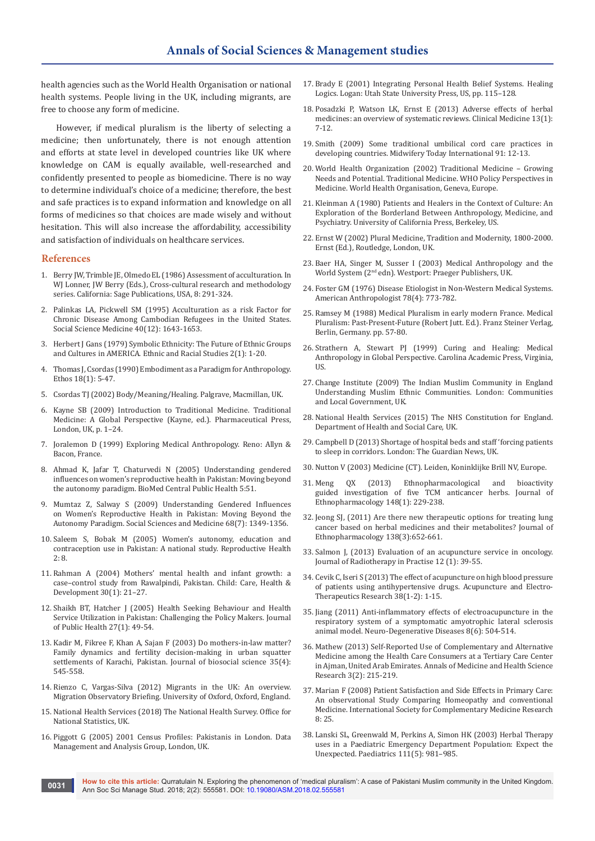health agencies such as the World Health Organisation or national health systems. People living in the UK, including migrants, are free to choose any form of medicine.

However, if medical pluralism is the liberty of selecting a medicine; then unfortunately, there is not enough attention and efforts at state level in developed countries like UK where knowledge on CAM is equally available, well-researched and confidently presented to people as biomedicine. There is no way to determine individual's choice of a medicine; therefore, the best and safe practices is to expand information and knowledge on all forms of medicines so that choices are made wisely and without hesitation. This will also increase the affordability, accessibility and satisfaction of individuals on healthcare services.

#### **References**

- 1. Berry JW, Trimble JE, Olmedo EL (1986) Assessment of acculturation. In WJ Lonner, JW Berry (Eds.), Cross-cultural research and methodology series. California: Sage Publications, USA, 8: 291-324.
- 2. [Palinkas LA, Pickwell SM \(1995\) Acculturation as a risk Factor for](https://www.ncbi.nlm.nih.gov/pubmed/7660177)  [Chronic Disease Among Cambodian Refugees in the United States.](https://www.ncbi.nlm.nih.gov/pubmed/7660177)  [Social Science Medicine 40\(12\): 1643-1653.](https://www.ncbi.nlm.nih.gov/pubmed/7660177)
- 3. [Herbert J Gans \(1979\) Symbolic Ethnicity: The Future of Ethnic Groups](https://www.tandfonline.com/doi/abs/10.1080/01419870.1979.9993248)  [and Cultures in AMERICA. Ethnic and Racial Studies 2\(1\): 1-20.](https://www.tandfonline.com/doi/abs/10.1080/01419870.1979.9993248)
- 4. Thomas J, Csordas (1990) Embodiment as a Paradigm for Anthropology. Ethos 18(1): 5-47.
- 5. Csordas TJ (2002) Body/Meaning/Healing. Palgrave, Macmillan, UK.
- 6. Kayne SB (2009) Introduction to Traditional Medicine. Traditional Medicine: A Global Perspective (Kayne, ed.). Pharmaceutical Press, London, UK, p. 1–24.
- 7. Joralemon D (1999) Exploring Medical Anthropology. Reno: Allyn & Bacon, France.
- 8. Ahmad K, Jafar T, Chaturvedi N (2005) Understanding gendered influences on women's reproductive health in Pakistan: Moving beyond the autonomy paradigm. BioMed Central Public Health 5:51.
- 9. [Mumtaz Z, Salway S \(2009\) Understanding Gendered Influences](https://www.ncbi.nlm.nih.gov/pubmed/19232810)  [on Women's Reproductive Health in Pakistan: Moving Beyond the](https://www.ncbi.nlm.nih.gov/pubmed/19232810)  [Autonomy Paradigm. Social Sciences and Medicine 68\(7\): 1349-1356.](https://www.ncbi.nlm.nih.gov/pubmed/19232810)
- 10. [Saleem S, Bobak M \(2005\) Women's autonomy, education and](https://www.ncbi.nlm.nih.gov/pmc/articles/PMC1277848/)  [contraception use in Pakistan: A national study. Reproductive Health](https://www.ncbi.nlm.nih.gov/pmc/articles/PMC1277848/)   $2 \cdot 8$
- 11. [Rahman A \(2004\) Mothers' mental health and infant growth: a](https://www.ncbi.nlm.nih.gov/pubmed/14678308)  [case–control study from Rawalpindi, Pakistan. Child: Care, Health &](https://www.ncbi.nlm.nih.gov/pubmed/14678308)  [Development 30\(1\): 21–27.](https://www.ncbi.nlm.nih.gov/pubmed/14678308)
- 12. [Shaikh BT, Hatcher J \(2005\) Health Seeking Behaviour and Health](https://www.ncbi.nlm.nih.gov/pubmed/15590705)  [Service Utilization in Pakistan: Challenging the Policy Makers. Journal](https://www.ncbi.nlm.nih.gov/pubmed/15590705)  [of Public Health 27\(1\): 49-54.](https://www.ncbi.nlm.nih.gov/pubmed/15590705)
- 13. [Kadir M, Fikree F, Khan A, Sajan F \(2003\) Do mothers-in-law matter?](https://www.ncbi.nlm.nih.gov/pubmed/14621251)  [Family dynamics and fertility decision-making in urban squatter](https://www.ncbi.nlm.nih.gov/pubmed/14621251)  [settlements of Karachi, Pakistan. Journal of biosocial science 35\(4\):](https://www.ncbi.nlm.nih.gov/pubmed/14621251)  [545-558.](https://www.ncbi.nlm.nih.gov/pubmed/14621251)
- 14. Rienzo C, Vargas-Silva (2012) Migrants in the UK: An overview. Migration Observatory Briefing. University of Oxford, Oxford, England.
- 15. National Health Services (2018) The National Health Survey. Office for National Statistics, UK.
- 16. Piggott G (2005) 2001 Census Profiles: Pakistanis in London. Data Management and Analysis Group, London, UK.
- 17. Brady E (2001) Integrating Personal Health Belief Systems. Healing Logics. Logan: Utah State University Press, US, pp. 115–128.
- 18. [Posadzki P, Watson LK, Ernst E \(2013\) Adverse effects of herbal](https://www.ncbi.nlm.nih.gov/pubmed/23472485)  [medicines: an overview of systematic reviews. Clinical Medicine 13\(1\):](https://www.ncbi.nlm.nih.gov/pubmed/23472485)  [7-12.](https://www.ncbi.nlm.nih.gov/pubmed/23472485)
- 19. [Smith \(2009\) Some traditional umbilical cord care practices in](https://www.ncbi.nlm.nih.gov/pubmed/19824251)  [developing countries. Midwifery Today International 91: 12-13.](https://www.ncbi.nlm.nih.gov/pubmed/19824251)
- 20. World Health Organization (2002) Traditional Medicine Growing Needs and Potential. Traditional Medicine. WHO Policy Perspectives in Medicine. World Health Organisation, Geneva, Europe.
- 21. Kleinman A (1980) Patients and Healers in the Context of Culture: An Exploration of the Borderland Between Anthropology, Medicine, and Psychiatry. University of California Press, Berkeley, US.
- 22. Ernst W (2002) Plural Medicine, Tradition and Modernity, 1800-2000. Ernst (Ed.), Routledge, London, UK.
- 23. Baer HA, Singer M, Susser I (2003) Medical Anthropology and the World System (2nd edn). Westport: Praeger Publishers, UK.
- 24. Foster GM (1976) Disease Etiologist in Non-Western Medical Systems. American Anthropologist 78(4): 773-782.
- 25. Ramsey M (1988) Medical Pluralism in early modern France. Medical Pluralism: Past-Present-Future (Robert Jutt. Ed.). Franz Steiner Verlag, Berlin, Germany. pp. 57-80.
- 26. Strathern A, Stewart PJ (1999) Curing and Healing: Medical Anthropology in Global Perspective. Carolina Academic Press, Virginia, US.
- 27. Change Institute (2009) The Indian Muslim Community in England Understanding Muslim Ethnic Communities. London: Communities and Local Government, UK.
- 28. National Health Services (2015) The NHS Constitution for England. Department of Health and Social Care, UK.
- 29. Campbell D (2013) Shortage of hospital beds and staff 'forcing patients to sleep in corridors. London: The Guardian News, UK.
- 30. Nutton V (2003) Medicine (CT). Leiden, Koninklijke Brill NV, Europe.
- 31. [Meng QX \(2013\) Ethnopharmacological and bioactivity](https://www.ncbi.nlm.nih.gov/pubmed/23623820)  [guided investigation of five TCM anticancer herbs. Journal of](https://www.ncbi.nlm.nih.gov/pubmed/23623820)  [Ethnopharmacology 148\(1\): 229-238.](https://www.ncbi.nlm.nih.gov/pubmed/23623820)
- 32. [Jeong SJ, \(2011\) Are there new therapeutic options for treating lung](https://www.ncbi.nlm.nih.gov/pubmed/22032843)  [cancer based on herbal medicines and their metabolites? Journal of](https://www.ncbi.nlm.nih.gov/pubmed/22032843)  [Ethnopharmacology 138\(3\):652-661.](https://www.ncbi.nlm.nih.gov/pubmed/22032843)
- 33. [Salmon J, \(2013\) Evaluation of an acupuncture service in oncology.](https://www.cambridge.org/core/journals/journal-of-radiotherapy-in-practice/article/evaluation-of-an-acupuncture-service-in-oncology/B89584ABB096A9EED8E36AB8FC01CAAC)  [Journal of Radiotherapy in Practise 12 \(1\): 39-55.](https://www.cambridge.org/core/journals/journal-of-radiotherapy-in-practice/article/evaluation-of-an-acupuncture-service-in-oncology/B89584ABB096A9EED8E36AB8FC01CAAC)
- 34. [Cevik C, Iseri S \(2013\) The effect of acupuncture on high blood pressure](https://www.ncbi.nlm.nih.gov/pubmed/23724695)  [of patients using antihypertensive drugs. Acupuncture and Electro-](https://www.ncbi.nlm.nih.gov/pubmed/23724695)[Therapeutics Research 38\(1-2\): 1-15.](https://www.ncbi.nlm.nih.gov/pubmed/23724695)
- 35. [Jiang \(2011\) Anti-inflammatory effects of electroacupuncture in the](https://www.ncbi.nlm.nih.gov/pubmed/21849797)  [respiratory system of a symptomatic amyotrophic lateral sclerosis](https://www.ncbi.nlm.nih.gov/pubmed/21849797)  [animal model. Neuro-Degenerative Diseases 8\(6\): 504-514.](https://www.ncbi.nlm.nih.gov/pubmed/21849797)
- 36. Mathew (2013) Self-Reported Use of Complementary and Alternative Medicine among the Health Care Consumers at a Tertiary Care Center in Ajman, United Arab Emirates. Annals of Medicine and Health Science Research 3(2): 215-219.
- 37. [Marian F \(2008\) Patient Satisfaction and Side Effects in Primary Care:](https://www.ncbi.nlm.nih.gov/pubmed/18801188)  [An observational Study Comparing Homeopathy and conventional](https://www.ncbi.nlm.nih.gov/pubmed/18801188)  [Medicine. International Society for Complementary Medicine Research](https://www.ncbi.nlm.nih.gov/pubmed/18801188)  [8: 25.](https://www.ncbi.nlm.nih.gov/pubmed/18801188)
- 38. [Lanski SL, Greenwald M, Perkins A, Simon HK \(2003\) Herbal Therapy](https://www.ncbi.nlm.nih.gov/pubmed/12728075)  [uses in a Paediatric Emergency Department Population: Expect the](https://www.ncbi.nlm.nih.gov/pubmed/12728075)  [Unexpected. Paediatrics 111\(5\): 981–985.](https://www.ncbi.nlm.nih.gov/pubmed/12728075)